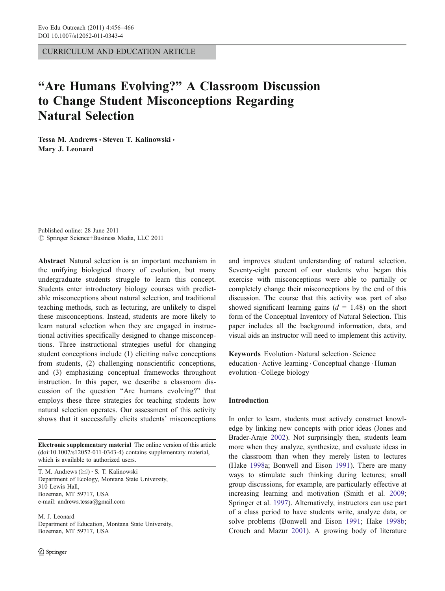CURRICULUM AND EDUCATION ARTICLE

# "Are Humans Evolving?" A Classroom Discussion to Change Student Misconceptions Regarding Natural Selection

Tessa M. Andrews · Steven T. Kalinowski · Mary J. Leonard

Published online: 28 June 2011  $\oslash$  Springer Science+Business Media, LLC 2011

Abstract Natural selection is an important mechanism in the unifying biological theory of evolution, but many undergraduate students struggle to learn this concept. Students enter introductory biology courses with predictable misconceptions about natural selection, and traditional teaching methods, such as lecturing, are unlikely to dispel these misconceptions. Instead, students are more likely to learn natural selection when they are engaged in instructional activities specifically designed to change misconceptions. Three instructional strategies useful for changing student conceptions include (1) eliciting naïve conceptions from students, (2) challenging nonscientific conceptions, and (3) emphasizing conceptual frameworks throughout instruction. In this paper, we describe a classroom discussion of the question "Are humans evolving?" that employs these three strategies for teaching students how natural selection operates. Our assessment of this activity shows that it successfully elicits students' misconceptions

Electronic supplementary material The online version of this article (doi:[10.1007/s12052-011-0343-4\)](http://dx.doi.org/10.1007/s12052-011-0343-4) contains supplementary material, which is available to authorized users.

T. M. Andrews  $(\boxtimes) \cdot$  S. T. Kalinowski Department of Ecology, Montana State University, 310 Lewis Hall, Bozeman, MT 59717, USA e-mail: andrews.tessa@gmail.com

M. J. Leonard Department of Education, Montana State University, Bozeman, MT 59717, USA

and improves student understanding of natural selection. Seventy-eight percent of our students who began this exercise with misconceptions were able to partially or completely change their misconceptions by the end of this discussion. The course that this activity was part of also showed significant learning gains  $(d = 1.48)$  on the short form of the Conceptual Inventory of Natural Selection. This paper includes all the background information, data, and visual aids an instructor will need to implement this activity.

Keywords Evolution · Natural selection · Science education . Active learning . Conceptual change . Human evolution . College biology

## Introduction

In order to learn, students must actively construct knowledge by linking new concepts with prior ideas (Jones and Brader-Araje [2002](#page-10-0)). Not surprisingly then, students learn more when they analyze, synthesize, and evaluate ideas in the classroom than when they merely listen to lectures (Hake [1998](#page-10-0)a; Bonwell and Eison [1991\)](#page-9-0). There are many ways to stimulate such thinking during lectures; small group discussions, for example, are particularly effective at increasing learning and motivation (Smith et al. [2009;](#page-10-0) Springer et al. [1997\)](#page-10-0). Alternatively, instructors can use part of a class period to have students write, analyze data, or solve problems (Bonwell and Eison [1991;](#page-9-0) Hake [1998b;](#page-10-0) Crouch and Mazur [2001](#page-9-0)). A growing body of literature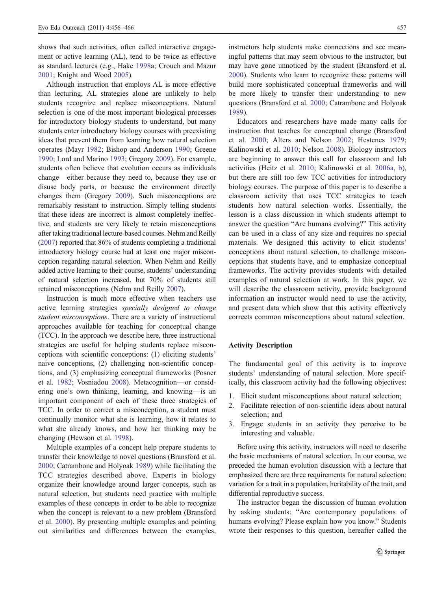shows that such activities, often called interactive engagement or active learning (AL), tend to be twice as effective as standard lectures (e.g., Hake [1998](#page-10-0)a; Crouch and Mazur [2001;](#page-9-0) Knight and Wood [2005](#page-10-0)).

Although instruction that employs AL is more effective than lecturing, AL strategies alone are unlikely to help students recognize and replace misconceptions. Natural selection is one of the most important biological processes for introductory biology students to understand, but many students enter introductory biology courses with preexisting ideas that prevent them from learning how natural selection operates (Mayr [1982;](#page-10-0) Bishop and Anderson [1990](#page-9-0); Greene [1990;](#page-10-0) Lord and Marino [1993](#page-10-0); Gregory [2009](#page-10-0)). For example, students often believe that evolution occurs as individuals change—either because they need to, because they use or disuse body parts, or because the environment directly changes them (Gregory [2009](#page-10-0)). Such misconceptions are remarkably resistant to instruction. Simply telling students that these ideas are incorrect is almost completely ineffective, and students are very likely to retain misconceptions after taking traditional lecture-based courses. Nehm and Reilly [\(2007\)](#page-10-0) reported that 86% of students completing a traditional introductory biology course had at least one major misconception regarding natural selection. When Nehm and Reilly added active learning to their course, students' understanding of natural selection increased, but 70% of students still retained misconceptions (Nehm and Reilly [2007\)](#page-10-0).

Instruction is much more effective when teachers use active learning strategies specially designed to change student misconceptions. There are a variety of instructional approaches available for teaching for conceptual change (TCC). In the approach we describe here, three instructional strategies are useful for helping students replace misconceptions with scientific conceptions: (1) eliciting students' naive conceptions, (2) challenging non-scientific conceptions, and (3) emphasizing conceptual frameworks (Posner et al. [1982](#page-10-0); Vosniadou [2008](#page-10-0)). Metacognition—or considering one's own thinking, learning, and knowing—is an important component of each of these three strategies of TCC. In order to correct a misconception, a student must continually monitor what she is learning, how it relates to what she already knows, and how her thinking may be changing (Hewson et al. [1998\)](#page-10-0).

Multiple examples of a concept help prepare students to transfer their knowledge to novel questions (Bransford et al. [2000;](#page-9-0) Catrambone and Holyoak [1989](#page-9-0)) while facilitating the TCC strategies described above. Experts in biology organize their knowledge around larger concepts, such as natural selection, but students need practice with multiple examples of these concepts in order to be able to recognize when the concept is relevant to a new problem (Bransford et al. [2000\)](#page-9-0). By presenting multiple examples and pointing out similarities and differences between the examples,

instructors help students make connections and see meaningful patterns that may seem obvious to the instructor, but may have gone unnoticed by the student (Bransford et al. [2000](#page-9-0)). Students who learn to recognize these patterns will build more sophisticated conceptual frameworks and will be more likely to transfer their understanding to new questions (Bransford et al. [2000](#page-9-0); Catrambone and Holyoak [1989](#page-9-0)).

Educators and researchers have made many calls for instruction that teaches for conceptual change (Bransford et al. [2000](#page-9-0); Alters and Nelson [2002](#page-9-0); Hestenes [1979;](#page-10-0) Kalinowski et al. [2010](#page-10-0); Nelson [2008](#page-10-0)). Biology instructors are beginning to answer this call for classroom and lab activities (Heitz et al. [2010](#page-10-0); Kalinowski et al. [2006a,](#page-10-0) [b](#page-10-0)), but there are still too few TCC activities for introductory biology courses. The purpose of this paper is to describe a classroom activity that uses TCC strategies to teach students how natural selection works. Essentially, the lesson is a class discussion in which students attempt to answer the question "Are humans evolving?" This activity can be used in a class of any size and requires no special materials. We designed this activity to elicit students' conceptions about natural selection, to challenge misconceptions that students have, and to emphasize conceptual frameworks. The activity provides students with detailed examples of natural selection at work. In this paper, we will describe the classroom activity, provide background information an instructor would need to use the activity, and present data which show that this activity effectively corrects common misconceptions about natural selection.

## Activity Description

The fundamental goal of this activity is to improve students' understanding of natural selection. More specifically, this classroom activity had the following objectives:

- 1. Elicit student misconceptions about natural selection;
- 2. Facilitate rejection of non-scientific ideas about natural selection; and
- 3. Engage students in an activity they perceive to be interesting and valuable.

Before using this activity, instructors will need to describe the basic mechanisms of natural selection. In our course, we preceded the human evolution discussion with a lecture that emphasized there are three requirements for natural selection: variation for a trait in a population, heritability of the trait, and differential reproductive success.

The instructor began the discussion of human evolution by asking students: "Are contemporary populations of humans evolving? Please explain how you know." Students wrote their responses to this question, hereafter called the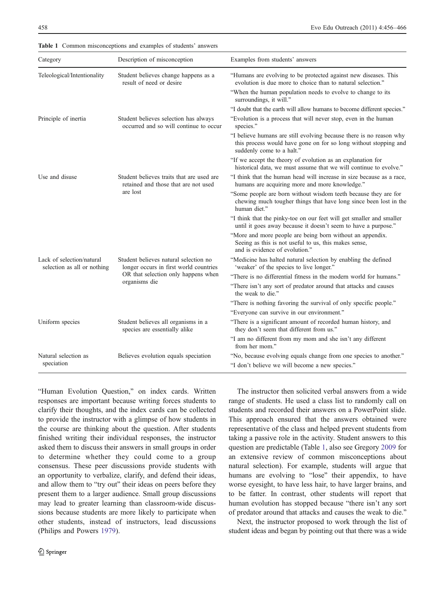| Category                                                 | Description of misconception                                                                                                            | Examples from students' answers                                                                                                                                                                                                                                                                |  |  |
|----------------------------------------------------------|-----------------------------------------------------------------------------------------------------------------------------------------|------------------------------------------------------------------------------------------------------------------------------------------------------------------------------------------------------------------------------------------------------------------------------------------------|--|--|
| Teleological/Intentionality                              | Student believes change happens as a<br>result of need or desire                                                                        | "Humans are evolving to be protected against new diseases. This<br>evolution is due more to choice than to natural selection."                                                                                                                                                                 |  |  |
|                                                          |                                                                                                                                         | "When the human population needs to evolve to change to its<br>surroundings, it will."                                                                                                                                                                                                         |  |  |
|                                                          |                                                                                                                                         | "I doubt that the earth will allow humans to become different species."                                                                                                                                                                                                                        |  |  |
| Principle of inertia                                     | Student believes selection has always<br>occurred and so will continue to occur                                                         | "Evolution is a process that will never stop, even in the human<br>species."                                                                                                                                                                                                                   |  |  |
|                                                          |                                                                                                                                         | "I believe humans are still evolving because there is no reason why<br>this process would have gone on for so long without stopping and<br>suddenly come to a halt."                                                                                                                           |  |  |
|                                                          |                                                                                                                                         | "If we accept the theory of evolution as an explanation for<br>historical data, we must assume that we will continue to evolve."                                                                                                                                                               |  |  |
| Use and disuse                                           | Student believes traits that are used are<br>retained and those that are not used<br>are lost                                           | "I think that the human head will increase in size because as a race,<br>humans are acquiring more and more knowledge."                                                                                                                                                                        |  |  |
|                                                          |                                                                                                                                         | "Some people are born without wisdom teeth because they are for<br>chewing much tougher things that have long since been lost in the<br>human diet."<br>"I think that the pinky-toe on our feet will get smaller and smaller<br>until it goes away because it doesn't seem to have a purpose." |  |  |
|                                                          |                                                                                                                                         |                                                                                                                                                                                                                                                                                                |  |  |
|                                                          |                                                                                                                                         | "More and more people are being born without an appendix.<br>Seeing as this is not useful to us, this makes sense,<br>and is evidence of evolution."                                                                                                                                           |  |  |
| Lack of selection/natural<br>selection as all or nothing | Student believes natural selection no<br>longer occurs in first world countries<br>OR that selection only happens when<br>organisms die | "Medicine has halted natural selection by enabling the defined<br>'weaker' of the species to live longer."                                                                                                                                                                                     |  |  |
|                                                          |                                                                                                                                         | "There is no differential fitness in the modern world for humans."                                                                                                                                                                                                                             |  |  |
|                                                          |                                                                                                                                         | "There isn't any sort of predator around that attacks and causes<br>the weak to die."                                                                                                                                                                                                          |  |  |
|                                                          |                                                                                                                                         | "There is nothing favoring the survival of only specific people."                                                                                                                                                                                                                              |  |  |
|                                                          |                                                                                                                                         | "Everyone can survive in our environment."                                                                                                                                                                                                                                                     |  |  |
| Uniform species                                          | Student believes all organisms in a<br>species are essentially alike                                                                    | "There is a significant amount of recorded human history, and<br>they don't seem that different from us."                                                                                                                                                                                      |  |  |
|                                                          |                                                                                                                                         | "I am no different from my mom and she isn't any different<br>from her mom."                                                                                                                                                                                                                   |  |  |
| Natural selection as                                     | Believes evolution equals speciation                                                                                                    | "No, because evolving equals change from one species to another."                                                                                                                                                                                                                              |  |  |
| speciation                                               |                                                                                                                                         | "I don't believe we will become a new species."                                                                                                                                                                                                                                                |  |  |

<span id="page-2-0"></span>Table 1 Common misconceptions and examples of students' answers

"Human Evolution Question," on index cards. Written responses are important because writing forces students to clarify their thoughts, and the index cards can be collected to provide the instructor with a glimpse of how students in the course are thinking about the question. After students finished writing their individual responses, the instructor asked them to discuss their answers in small groups in order to determine whether they could come to a group consensus. These peer discussions provide students with an opportunity to verbalize, clarify, and defend their ideas, and allow them to "try out" their ideas on peers before they present them to a larger audience. Small group discussions may lead to greater learning than classroom-wide discussions because students are more likely to participate when other students, instead of instructors, lead discussions (Philips and Powers [1979](#page-10-0)).

The instructor then solicited verbal answers from a wide range of students. He used a class list to randomly call on students and recorded their answers on a PowerPoint slide. This approach ensured that the answers obtained were representative of the class and helped prevent students from taking a passive role in the activity. Student answers to this question are predictable (Table 1, also see Gregory [2009](#page-10-0) for an extensive review of common misconceptions about natural selection). For example, students will argue that humans are evolving to "lose" their appendix, to have worse eyesight, to have less hair, to have larger brains, and to be fatter. In contrast, other students will report that human evolution has stopped because "there isn't any sort of predator around that attacks and causes the weak to die."

Next, the instructor proposed to work through the list of student ideas and began by pointing out that there was a wide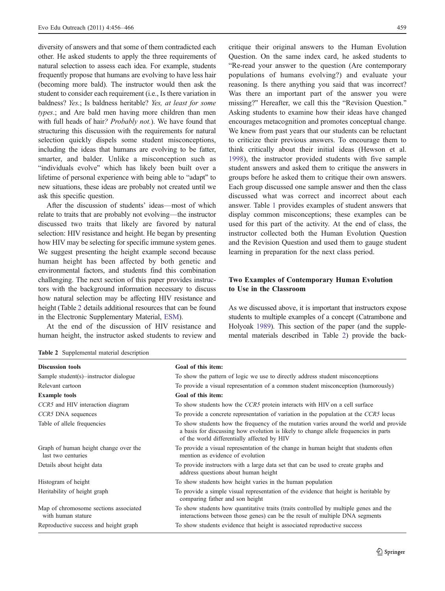<span id="page-3-0"></span>diversity of answers and that some of them contradicted each other. He asked students to apply the three requirements of natural selection to assess each idea. For example, students frequently propose that humans are evolving to have less hair (becoming more bald). The instructor would then ask the student to consider each requirement (i.e., Is there variation in baldness? Yes.; Is baldness heritable? Yes, at least for some types.; and Are bald men having more children than men with full heads of hair? Probably not.). We have found that structuring this discussion with the requirements for natural selection quickly dispels some student misconceptions, including the ideas that humans are evolving to be fatter, smarter, and balder. Unlike a misconception such as "individuals evolve" which has likely been built over a lifetime of personal experience with being able to "adapt" to new situations, these ideas are probably not created until we ask this specific question.

After the discussion of students' ideas—most of which relate to traits that are probably not evolving—the instructor discussed two traits that likely are favored by natural selection: HIV resistance and height. He began by presenting how HIV may be selecting for specific immune system genes. We suggest presenting the height example second because human height has been affected by both genetic and environmental factors, and students find this combination challenging. The next section of this paper provides instructors with the background information necessary to discuss how natural selection may be affecting HIV resistance and height (Table 2 details additional resources that can be found in the Electronic Supplementary Material, ESM).

At the end of the discussion of HIV resistance and human height, the instructor asked students to review and

Table 2 Supplemental material description

critique their original answers to the Human Evolution Question. On the same index card, he asked students to "Re-read your answer to the question (Are contemporary populations of humans evolving?) and evaluate your reasoning. Is there anything you said that was incorrect? Was there an important part of the answer you were missing?" Hereafter, we call this the "Revision Question." Asking students to examine how their ideas have changed encourages metacognition and promotes conceptual change. We knew from past years that our students can be reluctant to criticize their previous answers. To encourage them to think critically about their initial ideas (Hewson et al. [1998](#page-10-0)), the instructor provided students with five sample student answers and asked them to critique the answers in groups before he asked them to critique their own answers. Each group discussed one sample answer and then the class discussed what was correct and incorrect about each answer. Table [1](#page-2-0) provides examples of student answers that display common misconceptions; these examples can be used for this part of the activity. At the end of class, the instructor collected both the Human Evolution Question and the Revision Question and used them to gauge student learning in preparation for the next class period.

# Two Examples of Contemporary Human Evolution to Use in the Classroom

As we discussed above, it is important that instructors expose students to multiple examples of a concept (Catrambone and Holyoak [1989](#page-9-0)). This section of the paper (and the supplemental materials described in Table 2) provide the back-

| <b>Discussion tools</b>                                                                                                                                                                                                                                      | Goal of this item:                                                                                                                                                    |
|--------------------------------------------------------------------------------------------------------------------------------------------------------------------------------------------------------------------------------------------------------------|-----------------------------------------------------------------------------------------------------------------------------------------------------------------------|
| Sample student(s)-instructor dialogue                                                                                                                                                                                                                        | To show the pattern of logic we use to directly address student misconceptions                                                                                        |
| Relevant cartoon                                                                                                                                                                                                                                             | To provide a visual representation of a common student misconception (humorously)                                                                                     |
| <b>Example tools</b>                                                                                                                                                                                                                                         | Goal of this item:                                                                                                                                                    |
| CCR5 and HIV interaction diagram                                                                                                                                                                                                                             | To show students how the <i>CCR5</i> protein interacts with HIV on a cell surface                                                                                     |
| CCR5 DNA sequences                                                                                                                                                                                                                                           | To provide a concrete representation of variation in the population at the CCR5 locus                                                                                 |
| Table of allele frequencies<br>To show students how the frequency of the mutation varies around the world and provide<br>a basis for discussing how evolution is likely to change allele frequencies in parts<br>of the world differentially affected by HIV |                                                                                                                                                                       |
| Graph of human height change over the<br>last two centuries                                                                                                                                                                                                  | To provide a visual representation of the change in human height that students often<br>mention as evidence of evolution                                              |
| Details about height data                                                                                                                                                                                                                                    | To provide instructors with a large data set that can be used to create graphs and<br>address questions about human height                                            |
| Histogram of height                                                                                                                                                                                                                                          | To show students how height varies in the human population                                                                                                            |
| Heritability of height graph                                                                                                                                                                                                                                 | To provide a simple visual representation of the evidence that height is heritable by<br>comparing father and son height                                              |
| Map of chromosome sections associated<br>with human stature                                                                                                                                                                                                  | To show students how quantitative traits (traits controlled by multiple genes and the<br>interactions between those genes) can be the result of multiple DNA segments |
| Reproductive success and height graph                                                                                                                                                                                                                        | To show students evidence that height is associated reproductive success                                                                                              |
|                                                                                                                                                                                                                                                              |                                                                                                                                                                       |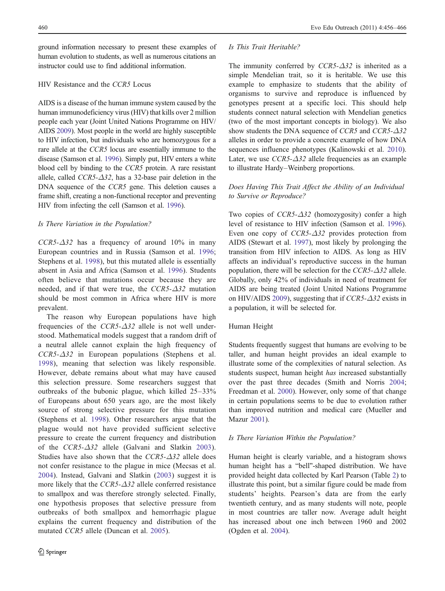ground information necessary to present these examples of human evolution to students, as well as numerous citations an instructor could use to find additional information.

## HIV Resistance and the CCR5 Locus

AIDS is a disease of the human immune system caused by the human immunodeficiency virus (HIV) that kills over 2 million people each year (Joint United Nations Programme on HIV/ AIDS [2009](#page-10-0)). Most people in the world are highly susceptible to HIV infection, but individuals who are homozygous for a rare allele at the CCR5 locus are essentially immune to the disease (Samson et al. [1996](#page-10-0)). Simply put, HIV enters a white blood cell by binding to the CCR5 protein. A rare resistant allele, called  $CCR5-\Delta 32$ , has a 32-base pair deletion in the DNA sequence of the CCR5 gene. This deletion causes a frame shift, creating a non-functional receptor and preventing HIV from infecting the cell (Samson et al. [1996\)](#page-10-0).

#### Is There Variation in the Population?

 $CCR5 - \Delta 32$  has a frequency of around 10% in many European countries and in Russia (Samson et al. [1996](#page-10-0); Stephens et al. [1998](#page-10-0)), but this mutated allele is essentially absent in Asia and Africa (Samson et al. [1996\)](#page-10-0). Students often believe that mutations occur because they are needed, and if that were true, the  $CCR5-\Delta 32$  mutation should be most common in Africa where HIV is more prevalent.

The reason why European populations have high frequencies of the  $CCR5-\Delta32$  allele is not well understood. Mathematical models suggest that a random drift of a neutral allele cannot explain the high frequency of  $CCR5-\Delta32$  in European populations (Stephens et al. [1998](#page-10-0)), meaning that selection was likely responsible. However, debate remains about what may have caused this selection pressure. Some researchers suggest that outbreaks of the bubonic plague, which killed 25–33% of Europeans about 650 years ago, are the most likely source of strong selective pressure for this mutation (Stephens et al. [1998](#page-10-0)). Other researchers argue that the plague would not have provided sufficient selective pressure to create the current frequency and distribution of the CCR5-Δ32 allele (Galvani and Slatkin [2003](#page-9-0)). Studies have also shown that the  $CCR5-\Delta 32$  allele does not confer resistance to the plague in mice (Mecsas et al. [2004](#page-10-0)). Instead, Galvani and Slatkin ([2003\)](#page-9-0) suggest it is more likely that the  $CCR5-\Delta 32$  allele conferred resistance to smallpox and was therefore strongly selected. Finally, one hypothesis proposes that selective pressure from outbreaks of both smallpox and hemorrhagic plague explains the current frequency and distribution of the mutated CCR5 allele (Duncan et al. [2005\)](#page-9-0).

#### Is This Trait Heritable?

The immunity conferred by  $CCR5-\Delta 32$  is inherited as a simple Mendelian trait, so it is heritable. We use this example to emphasize to students that the ability of organisms to survive and reproduce is influenced by genotypes present at a specific loci. This should help students connect natural selection with Mendelian genetics (two of the most important concepts in biology). We also show students the DNA sequence of CCR5 and CCR5-Δ32 alleles in order to provide a concrete example of how DNA sequences influence phenotypes (Kalinowski et al. [2010\)](#page-10-0). Later, we use  $CCR5 - \Delta 32$  allele frequencies as an example to illustrate Hardy–Weinberg proportions.

Does Having This Trait Affect the Ability of an Individual to Survive or Reproduce?

Two copies of  $CCR5-\Delta32$  (homozygosity) confer a high level of resistance to HIV infection (Samson et al. [1996\)](#page-10-0). Even one copy of  $CCR5-\Delta32$  provides protection from AIDS (Stewart et al. [1997](#page-10-0)), most likely by prolonging the transition from HIV infection to AIDS. As long as HIV affects an individual's reproductive success in the human population, there will be selection for the  $CCR5-\Delta 32$  allele. Globally, only 42% of individuals in need of treatment for AIDS are being treated (Joint United Nations Programme on HIV/AIDS [2009](#page-10-0)), suggesting that if  $CCR5-\Delta 32$  exists in a population, it will be selected for.

#### Human Height

Students frequently suggest that humans are evolving to be taller, and human height provides an ideal example to illustrate some of the complexities of natural selection. As students suspect, human height has increased substantially over the past three decades (Smith and Norris [2004;](#page-10-0) Freedman et al. [2000\)](#page-9-0). However, only some of that change in certain populations seems to be due to evolution rather than improved nutrition and medical care (Mueller and Mazur [2001](#page-10-0)).

#### Is There Variation Within the Population?

Human height is clearly variable, and a histogram shows human height has a "bell"-shaped distribution. We have provided height data collected by Karl Pearson (Table [2](#page-3-0)) to illustrate this point, but a similar figure could be made from students' heights. Pearson's data are from the early twentieth century, and as many students will note, people in most countries are taller now. Average adult height has increased about one inch between 1960 and 2002 (Ogden et al. [2004](#page-10-0)).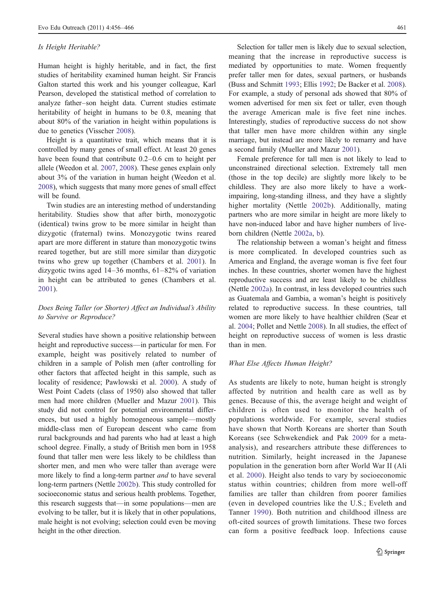#### Is Height Heritable?

Human height is highly heritable, and in fact, the first studies of heritability examined human height. Sir Francis Galton started this work and his younger colleague, Karl Pearson, developed the statistical method of correlation to analyze father–son height data. Current studies estimate heritability of height in humans to be 0.8, meaning that about 80% of the variation in height within populations is due to genetics (Visscher [2008\)](#page-10-0).

Height is a quantitative trait, which means that it is controlled by many genes of small effect. At least 20 genes have been found that contribute 0.2–0.6 cm to height per allele (Weedon et al. [2007,](#page-10-0) [2008\)](#page-10-0). These genes explain only about 3% of the variation in human height (Weedon et al. [2008\)](#page-10-0), which suggests that many more genes of small effect will be found.

Twin studies are an interesting method of understanding heritability. Studies show that after birth, monozygotic (identical) twins grow to be more similar in height than dizygotic (fraternal) twins. Monozygotic twins reared apart are more different in stature than monozygotic twins reared together, but are still more similar than dizygotic twins who grew up together (Chambers et al. [2001\)](#page-9-0). In dizygotic twins aged 14–36 months, 61–82% of variation in height can be attributed to genes (Chambers et al. [2001](#page-9-0)).

## Does Being Taller (or Shorter) Affect an Individual's Ability to Survive or Reproduce?

Several studies have shown a positive relationship between height and reproductive success—in particular for men. For example, height was positively related to number of children in a sample of Polish men (after controlling for other factors that affected height in this sample, such as locality of residence; Pawlowski et al. [2000\)](#page-10-0). A study of West Point Cadets (class of 1950) also showed that taller men had more children (Mueller and Mazur [2001](#page-10-0)). This study did not control for potential environmental differences, but used a highly homogeneous sample—mostly middle-class men of European descent who came from rural backgrounds and had parents who had at least a high school degree. Finally, a study of British men born in 1958 found that taller men were less likely to be childless than shorter men, and men who were taller than average were more likely to find a long-term partner and to have several long-term partners (Nettle [2002b\)](#page-10-0). This study controlled for socioeconomic status and serious health problems. Together, this research suggests that—in some populations—men are evolving to be taller, but it is likely that in other populations, male height is not evolving; selection could even be moving height in the other direction.

Selection for taller men is likely due to sexual selection, meaning that the increase in reproductive success is mediated by opportunities to mate. Women frequently prefer taller men for dates, sexual partners, or husbands (Buss and Schmitt [1993](#page-9-0); Ellis [1992](#page-9-0); De Backer et al. [2008\)](#page-9-0). For example, a study of personal ads showed that 80% of women advertised for men six feet or taller, even though the average American male is five feet nine inches. Interestingly, studies of reproductive success do not show that taller men have more children within any single marriage, but instead are more likely to remarry and have a second family (Mueller and Mazur [2001\)](#page-10-0).

Female preference for tall men is not likely to lead to unconstrained directional selection. Extremely tall men (those in the top decile) are slightly more likely to be childless. They are also more likely to have a workimpairing, long-standing illness, and they have a slightly higher mortality (Nettle [2002b](#page-10-0)). Additionally, mating partners who are more similar in height are more likely to have non-induced labor and have higher numbers of liveborn children (Nettle [2002a](#page-10-0), [b\)](#page-10-0).

The relationship between a woman's height and fitness is more complicated. In developed countries such as America and England, the average woman is five feet four inches. In these countries, shorter women have the highest reproductive success and are least likely to be childless (Nettle [2002a](#page-10-0)). In contrast, in less developed countries such as Guatemala and Gambia, a woman's height is positively related to reproductive success. In these countries, tall women are more likely to have healthier children (Sear et al. [2004](#page-10-0); Pollet and Nettle [2008\)](#page-10-0). In all studies, the effect of height on reproductive success of women is less drastic than in men.

## What Else Affects Human Height?

As students are likely to note, human height is strongly affected by nutrition and health care as well as by genes. Because of this, the average height and weight of children is often used to monitor the health of populations worldwide. For example, several studies have shown that North Koreans are shorter than South Koreans (see Schwekendiek and Pak [2009](#page-10-0) for a metaanalysis), and researchers attribute these differences to nutrition. Similarly, height increased in the Japanese population in the generation born after World War II (Ali et al. [2000\)](#page-9-0). Height also tends to vary by socioeconomic status within countries; children from more well-off families are taller than children from poorer families (even in developed countries like the U.S.; Eveleth and Tanner [1990\)](#page-9-0). Both nutrition and childhood illness are oft-cited sources of growth limitations. These two forces can form a positive feedback loop. Infections cause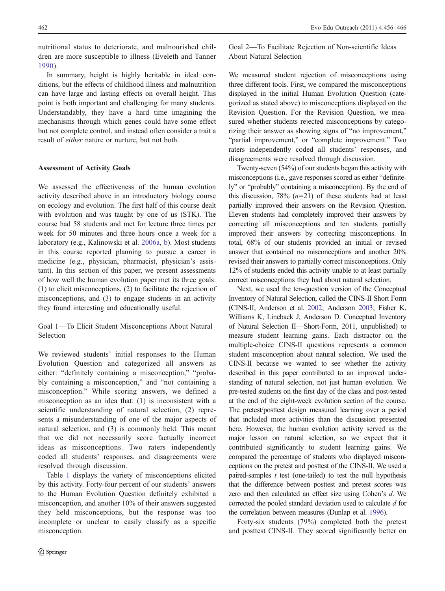nutritional status to deteriorate, and malnourished children are more susceptible to illness (Eveleth and Tanner [1990\)](#page-9-0).

In summary, height is highly heritable in ideal conditions, but the effects of childhood illness and malnutrition can have large and lasting effects on overall height. This point is both important and challenging for many students. Understandably, they have a hard time imagining the mechanisms through which genes could have some effect but not complete control, and instead often consider a trait a result of either nature or nurture, but not both.

## Assessment of Activity Goals

We assessed the effectiveness of the human evolution activity described above in an introductory biology course on ecology and evolution. The first half of this course dealt with evolution and was taught by one of us (STK). The course had 58 students and met for lecture three times per week for 50 minutes and three hours once a week for a laboratory (e.g., Kalinowski et al. [2006a,](#page-10-0) [b](#page-10-0)). Most students in this course reported planning to pursue a career in medicine (e.g., physician, pharmacist, physician's assistant). In this section of this paper, we present assessments of how well the human evolution paper met its three goals: (1) to elicit misconceptions, (2) to facilitate the rejection of misconceptions, and (3) to engage students in an activity they found interesting and educationally useful.

Goal 1—To Elicit Student Misconceptions About Natural Selection

We reviewed students' initial responses to the Human Evolution Question and categorized all answers as either: "definitely containing a misconception," "probably containing a misconception," and "not containing a misconception." While scoring answers, we defined a misconception as an idea that: (1) is inconsistent with a scientific understanding of natural selection, (2) represents a misunderstanding of one of the major aspects of natural selection, and (3) is commonly held. This meant that we did not necessarily score factually incorrect ideas as misconceptions. Two raters independently coded all students' responses, and disagreements were resolved through discussion.

Table [1](#page-2-0) displays the variety of misconceptions elicited by this activity. Forty-four percent of our students' answers to the Human Evolution Question definitely exhibited a misconception, and another 10% of their answers suggested they held misconceptions, but the response was too incomplete or unclear to easily classify as a specific misconception.

Goal 2—To Facilitate Rejection of Non-scientific Ideas About Natural Selection

We measured student rejection of misconceptions using three different tools. First, we compared the misconceptions displayed in the initial Human Evolution Question (categorized as stated above) to misconceptions displayed on the Revision Question. For the Revision Question, we measured whether students rejected misconceptions by categorizing their answer as showing signs of "no improvement," "partial improvement," or "complete improvement." Two raters independently coded all students' responses, and disagreements were resolved through discussion.

Twenty-seven (54%) of our students began this activity with misconceptions (i.e., gave responses scored as either "definitely" or "probably" containing a misconception). By the end of this discussion, 78%  $(n=21)$  of these students had at least partially improved their answers on the Revision Question. Eleven students had completely improved their answers by correcting all misconceptions and ten students partially improved their answers by correcting misconceptions. In total, 68% of our students provided an initial or revised answer that contained no misconceptions and another 20% revised their answers to partially correct misconceptions. Only 12% of students ended this activity unable to at least partially correct misconceptions they had about natural selection.

Next, we used the ten-question version of the Conceptual Inventory of Natural Selection, called the CINS-II Short Form (CINS-II; Anderson et al. [2002](#page-9-0); Anderson [2003](#page-9-0); Fisher K, Williams K, Lineback J, Anderson D. Conceptual Inventory of Natural Selection II—Short-Form, 2011, unpublished) to measure student learning gains. Each distractor on the multiple-choice CINS-II questions represents a common student misconception about natural selection. We used the CINS-II because we wanted to see whether the activity described in this paper contributed to an improved understanding of natural selection, not just human evolution. We pre-tested students on the first day of the class and post-tested at the end of the eight-week evolution section of the course. The pretest/posttest design measured learning over a period that included more activities than the discussion presented here. However, the human evolution activity served as the major lesson on natural selection, so we expect that it contributed significantly to student learning gains. We compared the percentage of students who displayed misconceptions on the pretest and posttest of the CINS-II. We used a paired-samples  $t$  test (one-tailed) to test the null hypothesis that the difference between posttest and pretest scores was zero and then calculated an effect size using Cohen's d. We corrected the pooled standard deviation used to calculate d for the correlation between measures (Dunlap et al. [1996\)](#page-9-0).

Forty-six students (79%) completed both the pretest and posttest CINS-II. They scored significantly better on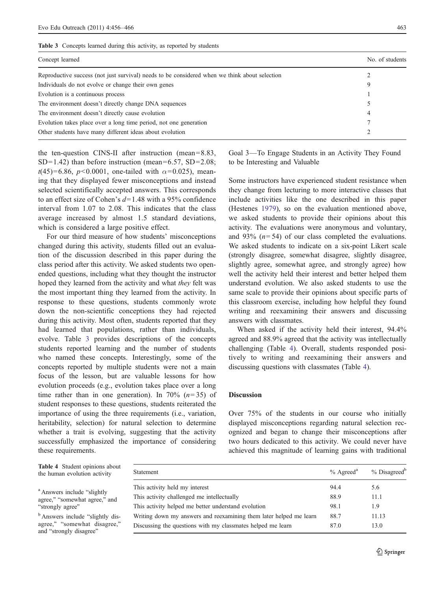|  | Table 3 Concepts learned during this activity, as reported by students |  |  |  |  |  |  |  |  |
|--|------------------------------------------------------------------------|--|--|--|--|--|--|--|--|
|--|------------------------------------------------------------------------|--|--|--|--|--|--|--|--|

| Concept learned                                                                               | No. of students |
|-----------------------------------------------------------------------------------------------|-----------------|
| Reproductive success (not just survival) needs to be considered when we think about selection |                 |
| Individuals do not evolve or change their own genes                                           | Q               |
| Evolution is a continuous process                                                             |                 |
| The environment doesn't directly change DNA sequences                                         |                 |
| The environment doesn't directly cause evolution                                              |                 |
| Evolution takes place over a long time period, not one generation                             |                 |
| Other students have many different ideas about evolution                                      |                 |
|                                                                                               |                 |

the ten-question CINS-II after instruction (mean=8.83, SD=1.42) than before instruction (mean=6.57, SD=2.08;  $t(45)=6.86$ ,  $p<0.0001$ , one-tailed with  $\alpha=0.025$ ), meaning that they displayed fewer misconceptions and instead selected scientifically accepted answers. This corresponds to an effect size of Cohen's  $d=1.48$  with a 95% confidence interval from 1.07 to 2.08. This indicates that the class average increased by almost 1.5 standard deviations, which is considered a large positive effect.

For our third measure of how students' misconceptions changed during this activity, students filled out an evaluation of the discussion described in this paper during the class period after this activity. We asked students two openended questions, including what they thought the instructor hoped they learned from the activity and what they felt was the most important thing they learned from the activity. In response to these questions, students commonly wrote down the non-scientific conceptions they had rejected during this activity. Most often, students reported that they had learned that populations, rather than individuals, evolve. Table 3 provides descriptions of the concepts students reported learning and the number of students who named these concepts. Interestingly, some of the concepts reported by multiple students were not a main focus of the lesson, but are valuable lessons for how evolution proceeds (e.g., evolution takes place over a long time rather than in one generation). In 70%  $(n=35)$  of student responses to these questions, students reiterated the importance of using the three requirements (i.e., variation, heritability, selection) for natural selection to determine whether a trait is evolving, suggesting that the activity successfully emphasized the importance of considering these requirements.

Goal 3—To Engage Students in an Activity They Found to be Interesting and Valuable

Some instructors have experienced student resistance when they change from lecturing to more interactive classes that include activities like the one described in this paper (Hestenes [1979\)](#page-10-0), so on the evaluation mentioned above, we asked students to provide their opinions about this activity. The evaluations were anonymous and voluntary, and 93%  $(n=54)$  of our class completed the evaluations. We asked students to indicate on a six-point Likert scale (strongly disagree, somewhat disagree, slightly disagree, slightly agree, somewhat agree, and strongly agree) how well the activity held their interest and better helped them understand evolution. We also asked students to use the same scale to provide their opinions about specific parts of this classroom exercise, including how helpful they found writing and reexamining their answers and discussing answers with classmates.

When asked if the activity held their interest, 94.4% agreed and 88.9% agreed that the activity was intellectually challenging (Table 4). Overall, students responded positively to writing and reexamining their answers and discussing questions with classmates (Table 4).

## Discussion

Over 75% of the students in our course who initially displayed misconceptions regarding natural selection recognized and began to change their misconceptions after two hours dedicated to this activity. We could never have achieved this magnitude of learning gains with traditional

Table 4 Student opinions about the human evolution activity

<sup>a</sup> Answers include "slightly agree," "somewhat agree," and "strongly agree"

<sup>b</sup> Answers include "slightly disagree," "somewhat disagree," and "strongly disagree"

| Statement                                                          | $%$ Agreed <sup>a</sup> | $%$ Disagreed <sup>b</sup> |
|--------------------------------------------------------------------|-------------------------|----------------------------|
| This activity held my interest                                     | 94.4                    | 5.6                        |
| This activity challenged me intellectually                         | 88.9                    | 11.1                       |
| This activity helped me better understand evolution                | 98.1                    | 1.9                        |
| Writing down my answers and reexamining them later helped me learn | 88.7                    | 11.13                      |
| Discussing the questions with my classmates helped me learn        | 87.0                    | 13.0                       |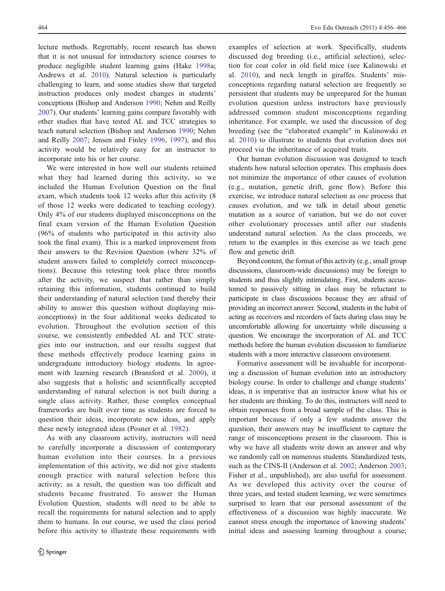lecture methods. Regrettably, recent research has shown that it is not unusual for introductory science courses to produce negligible student learning gains (Hake [1998](#page-10-0)a; Andrews et al. [2010](#page-9-0)). Natural selection is particularly challenging to learn, and some studies show that targeted instruction produces only modest changes in students' conceptions (Bishop and Anderson [1990;](#page-9-0) Nehm and Reilly [2007\)](#page-10-0). Our students' learning gains compare favorably with other studies that have tested AL and TCC strategies to teach natural selection (Bishop and Anderson [1990;](#page-9-0) Nehm and Reilly [2007](#page-10-0); Jensen and Finley [1996,](#page-10-0) [1997](#page-10-0)), and this activity would be relatively easy for an instructor to incorporate into his or her course.

We were interested in how well our students retained what they had learned during this activity, so we included the Human Evolution Question on the final exam, which students took 12 weeks after this activity (8 of those 12 weeks were dedicated to teaching ecology). Only 4% of our students displayed misconceptions on the final exam version of the Human Evolution Question (96% of students who participated in this activity also took the final exam). This is a marked improvement from their answers to the Revision Question (where 32% of student answers failed to completely correct misconceptions). Because this retesting took place three months after the activity, we suspect that rather than simply retaining this information, students continued to build their understanding of natural selection (and thereby their ability to answer this question without displaying misconceptions) in the four additional weeks dedicated to evolution. Throughout the evolution section of this course, we consistently embedded AL and TCC strategies into our instruction, and our results suggest that these methods effectively produce learning gains in undergraduate introductory biology students. In agreement with learning research (Bransford et al. [2000](#page-9-0)), it also suggests that a holistic and scientifically accepted understanding of natural selection is not built during a single class activity. Rather, these complex conceptual frameworks are built over time as students are forced to question their ideas, incorporate new ideas, and apply these newly integrated ideas (Posner et al. [1982\)](#page-10-0).

As with any classroom activity, instructors will need to carefully incorporate a discussion of contemporary human evolution into their courses. In a previous implementation of this activity, we did not give students enough practice with natural selection before this activity; as a result, the question was too difficult and students became frustrated. To answer the Human Evolution Question, students will need to be able to recall the requirements for natural selection and to apply them to humans. In our course, we used the class period before this activity to illustrate these requirements with examples of selection at work. Specifically, students discussed dog breeding (i.e., artificial selection), selection for coat color in old field mice (see Kalinowski et al. [2010\)](#page-10-0), and neck length in giraffes. Students' misconceptions regarding natural selection are frequently so persistent that students may be unprepared for the human evolution question unless instructors have previously addressed common student misconceptions regarding inheritance. For example, we used the discussion of dog breeding (see the "elaborated example" in Kalinowski et al. [2010](#page-10-0)) to illustrate to students that evolution does not proceed via the inheritance of acquired traits.

Our human evolution discussion was designed to teach students how natural selection operates. This emphasis does not minimize the importance of other causes of evolution (e.g., mutation, genetic drift, gene flow). Before this exercise, we introduce natural selection as one process that causes evolution, and we talk in detail about genetic mutation as a source of variation, but we do not cover other evolutionary processes until after our students understand natural selection. As the class proceeds, we return to the examples in this exercise as we teach gene flow and genetic drift.

Beyond content, the format of this activity (e.g., small group discussions, classroom-wide discussions) may be foreign to students and thus slightly intimidating. First, students accustomed to passively sitting in class may be reluctant to participate in class discussions because they are afraid of providing an incorrect answer. Second, students in the habit of acting as receivers and recorders of facts during class may be uncomfortable allowing for uncertainty while discussing a question. We encourage the incorporation of AL and TCC methods before the human evolution discussion to familiarize students with a more interactive classroom environment.

Formative assessment will be invaluable for incorporating a discussion of human evolution into an introductory biology course. In order to challenge and change students' ideas, it is imperative that an instructor know what his or her students are thinking. To do this, instructors will need to obtain responses from a broad sample of the class. This is important because if only a few students answer the question, their answers may be insufficient to capture the range of misconceptions present in the classroom. This is why we have all students write down an answer and why we randomly call on numerous students. Standardized tests, such as the CINS-II (Anderson et al. [2002;](#page-9-0) Anderson [2003;](#page-9-0) Fisher et al., unpublished), are also useful for assessment. As we developed this activity over the course of three years, and tested student learning, we were sometimes surprised to learn that our personal assessment of the effectiveness of a discussion was highly inaccurate. We cannot stress enough the importance of knowing students' initial ideas and assessing learning throughout a course;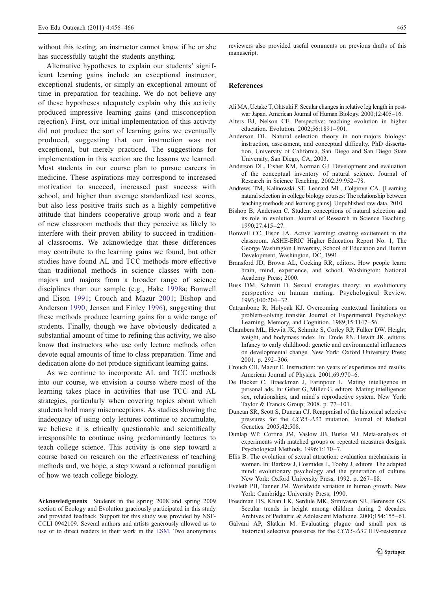<span id="page-9-0"></span>without this testing, an instructor cannot know if he or she has successfully taught the students anything.

Alternative hypotheses to explain our students' significant learning gains include an exceptional instructor, exceptional students, or simply an exceptional amount of time in preparation for teaching. We do not believe any of these hypotheses adequately explain why this activity produced impressive learning gains (and misconception rejection). First, our initial implementation of this activity did not produce the sort of learning gains we eventually produced, suggesting that our instruction was not exceptional, but merely practiced. The suggestions for implementation in this section are the lessons we learned. Most students in our course plan to pursue careers in medicine. These aspirations may correspond to increased motivation to succeed, increased past success with school, and higher than average standardized test scores, but also less positive traits such as a highly competitive attitude that hinders cooperative group work and a fear of new classroom methods that they perceive as likely to interfere with their proven ability to succeed in traditional classrooms. We acknowledge that these differences may contribute to the learning gains we found, but other studies have found AL and TCC methods more effective than traditional methods in science classes with nonmajors and majors from a broader range of science disciplines than our sample (e.g., Hake [1998a](#page-10-0); Bonwell and Eison 1991; Crouch and Mazur 2001; Bishop and Anderson 1990; Jensen and Finley [1996](#page-10-0)), suggesting that these methods produce learning gains for a wide range of students. Finally, though we have obviously dedicated a substantial amount of time to refining this activity, we also know that instructors who use only lecture methods often devote equal amounts of time to class preparation. Time and dedication alone do not produce significant learning gains.

As we continue to incorporate AL and TCC methods into our course, we envision a course where most of the learning takes place in activities that use TCC and AL strategies, particularly when covering topics about which students hold many misconceptions. As studies showing the inadequacy of using only lectures continue to accumulate, we believe it is ethically questionable and scientifically irresponsible to continue using predominantly lectures to teach college science. This activity is one step toward a course based on research on the effectiveness of teaching methods and, we hope, a step toward a reformed paradigm of how we teach college biology.

Acknowledgments Students in the spring 2008 and spring 2009 section of Ecology and Evolution graciously participated in this study and provided feedback. Support for this study was provided by NSF-CCLI 0942109. Several authors and artists generously allowed us to use or to direct readers to their work in the ESM. Two anonymous reviewers also provided useful comments on previous drafts of this manuscript.

#### References

- Ali MA, Uetake T, Ohtsuki F. Secular changes in relative leg length in postwar Japan. American Journal of Human Biology. 2000;12:405–16.
- Alters BJ, Nelson CE. Perspective: teaching evolution in higher education. Evolution. 2002;56:1891–901.
- Anderson DL. Natural selection theory in non-majors biology: instruction, assessment, and conceptual difficulty. PhD dissertation, University of California, San Diego and San Diego State University, San Diego, CA, 2003.
- Anderson DL, Fisher KM, Norman GJ. Development and evaluation of the conceptual inventory of natural science. Journal of Research in Science Teaching. 2002;39:952–78.
- Andrews TM, Kalinowski ST, Leonard ML, Colgrove CA. [Learning natural selection in college biology courses: The relationship between teaching methods and learning gains]. Unpublished raw data, 2010.
- Bishop B, Anderson C. Student conceptions of natural selection and its role in evolution. Journal of Research in Science Teaching. 1990;27:415–27.
- Bonwell CC, Eison JA. Active learning: creating excitement in the classroom. ASHE-ERIC Higher Education Report No. 1, The George Washington University, School of Education and Human Development, Washington, DC, 1991.
- Bransford JD, Brown AL, Cocking RR, editors. How people learn: brain, mind, experience, and school. Washington: National Academy Press; 2000.
- Buss DM, Schmitt D. Sexual strategies theory: an evolutionary perspective on human mating. Psychological Review. 1993;100:204–32.
- Catrambone R, Holyoak KJ. Overcoming contextual limitations on problem-solving transfer. Journal of Experimental Psychology: Learning, Memory, and Cognition. 1989;15:1147–56.
- Chambers ML, Hewitt JK, Schmitz S, Corley RP, Fulker DW. Height, weight, and bodymass index. In: Emde RN, Hewitt JK, editors. Infancy to early childhood: genetic and environmental influences on developmental change. New York: Oxford University Press; 2001. p. 292–306.
- Crouch CH, Mazur E. Instruction: ten years of experience and results. American Journal of Physics. 2001;69:970–6.
- De Backer C, Braeckman J, Farinpour L. Mating intelligence in personal ads. In: Geher G, Miller G, editors. Mating intelligence: sex, relationships, and mind's reproductive system. New York: Taylor & Francis Group; 2008. p. 77–101.
- Duncan SR, Scott S, Duncan CJ. Reappraisal of the historical selective pressures for the CCR5-Δ32 mutation. Journal of Medical Genetics. 2005;42:508.
- Dunlap WP, Cortina JM, Vaslow JB, Burke MJ. Meta-analysis of experiments with matched groups or repeated measures designs. Psychological Methods. 1996;1:170–7.
- Ellis B. The evolution of sexual attraction: evaluation mechanisms in women. In: Barkow J, Cosmides L, Tooby J, editors. The adapted mind: evolutionary psychology and the generation of culture. New York: Oxford University Press; 1992. p. 267–88.
- Eveleth PB, Tanner JM. Worldwide variation in human growth. New York: Cambridge University Press; 1990.
- Freedman DS, Khan LK, Serdule MK, Srinivasan SR, Berenson GS. Secular trends in height among children during 2 decades. Archives of Pediatric & Adolescent Medicine. 2000;154:155–61.
- Galvani AP, Slatkin M. Evaluating plague and small pox as historical selective pressures for the  $CCR5-\Delta 32$  HIV-resistance